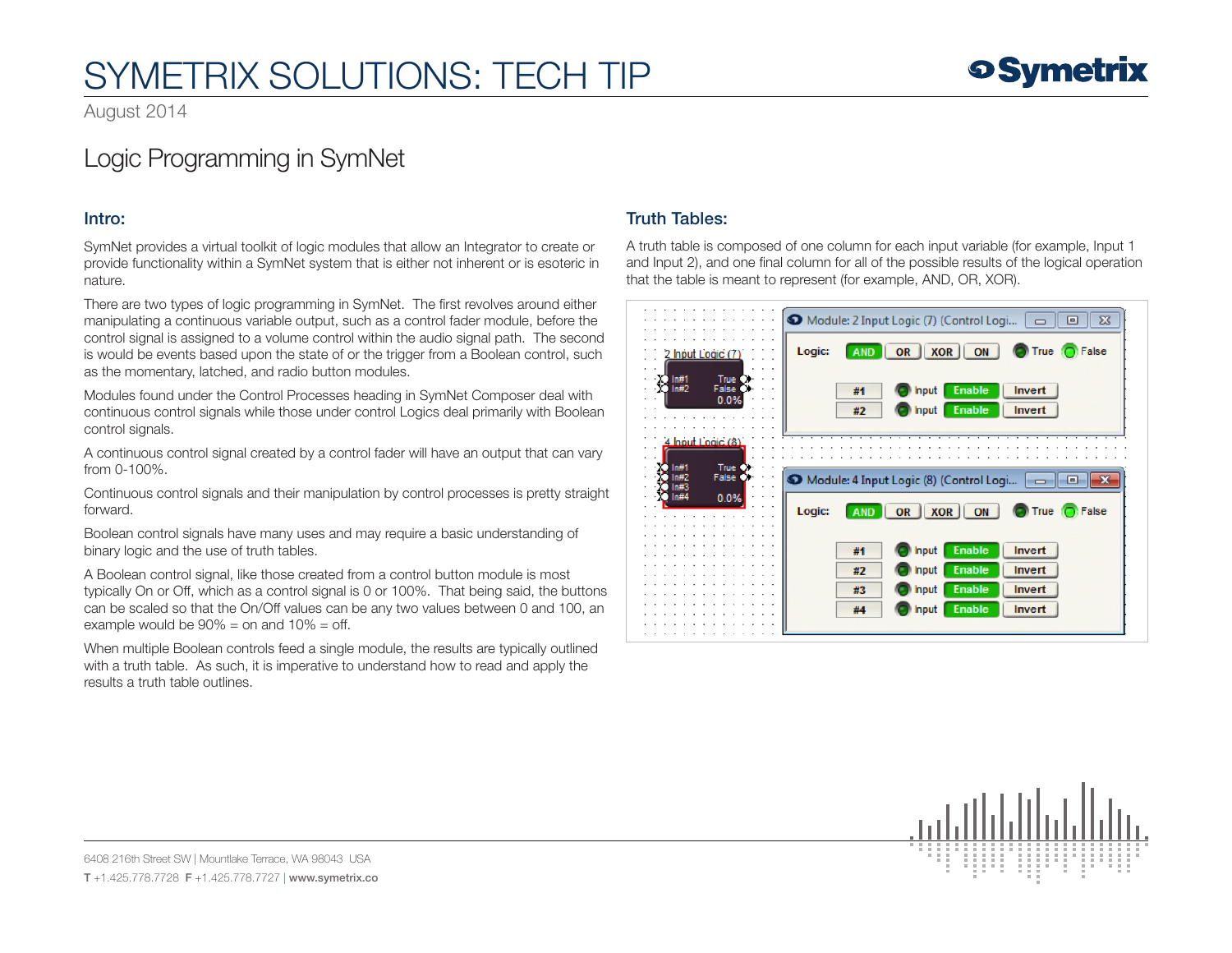## SYMETRIX SOLUTIONS: TECH TIP

August 2014

### Logic Programming in SymNet

#### Intro:

SymNet provides a virtual toolkit of logic modules that allow an Integrator to create or provide functionality within a SymNet system that is either not inherent or is esoteric in nature.

There are two types of logic programming in SymNet. The first revolves around either manipulating a continuous variable output, such as a control fader module, before the control signal is assigned to a volume control within the audio signal path. The second is would be events based upon the state of or the trigger from a Boolean control, such as the momentary, latched, and radio button modules.

Modules found under the Control Processes heading in SymNet Composer deal with continuous control signals while those under control Logics deal primarily with Boolean control signals.

A continuous control signal created by a control fader will have an output that can vary from 0-100%.

Continuous control signals and their manipulation by control processes is pretty straight forward.

Boolean control signals have many uses and may require a basic understanding of binary logic and the use of truth tables.

A Boolean control signal, like those created from a control button module is most typically On or Off, which as a control signal is 0 or 100%. That being said, the buttons can be scaled so that the On/Off values can be any two values between 0 and 100, an example would be  $90\% =$  on and  $10\% =$  off.

When multiple Boolean controls feed a single module, the results are typically outlined with a truth table. As such, it is imperative to understand how to read and apply the results a truth table outlines.

#### Truth Tables:

A truth table is composed of one column for each input variable (for example, Input 1 and Input 2), and one final column for all of the possible results of the logical operation that the table is meant to represent (for example, AND, OR, XOR).





**o Symetrix** 

6408 216th Street SW | Mountlake Terrace, WA 98043 USA T +1.425.778.7728 F +1.425.778.7727 | www.symetrix.co